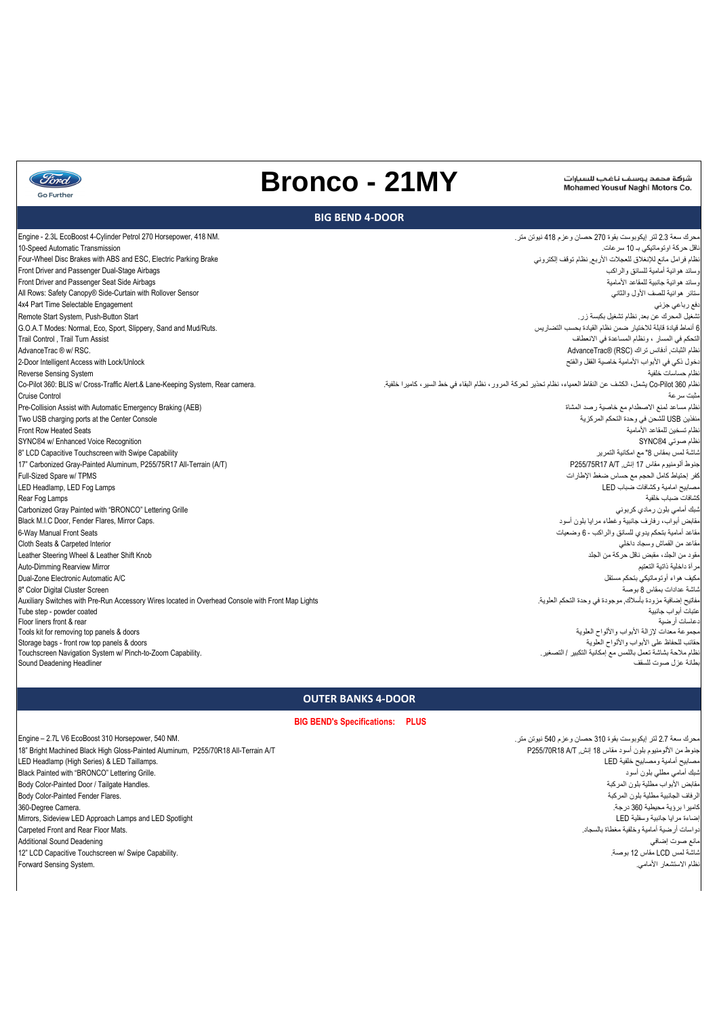محرك سعة 2.7 لتر إيكوبوست بقوة 310 حصان وعزم 540 نيوتن متر. جنوط من الألومنيوم بلون أسود مقاس 18 إنش, P255/70R18 All-Terrain A/T P255/70R18 All-Terrain A/T و18" Bright Machined Black High Gloss-Painted Aluminum, P255/70R18 All-Terrain A/T أبومنيوم بلون أسود مقاس 18 و LED Headlamp

Black Painted with "BRONCO" Lettering Grille. مقابض الأبواب مطلية بلون المركبة هي المركبة المركبة المركبة المركبة المركبة المركبة المركبة بلون المركبة المركبة<br>الرفاف الجانبية مطلية بلون المركبة المركبة المركبة المركبة المركبة المركبة المركبة المركبة المركبة المسلمين Body Color-Painted Fender Flares. كاميرا برؤية محيطية 360 درجة. .Camera Degree360- Mirrors, Sideview LED Approach Lamps and LED Spotlight LED وسفلية جانبية مرايا إضاءة .<br>دواسات أرضية أمامية وخلفية مغطاة بالسجاد. مانع صوت إضافي Deadening Sound Additional 12" LCD Capacitive Touchscreen w/ Swipe Capability. .بوصة 12 مقاس LCD لمس شاشة Forward Sensing System.

LED Headlamp (High Series) & LED Taillamps. Engine – 2.7L V6 EcoBoost 310 Horsepower, 540 NM.

| Engine - 2.3L EcoBoost 4-Cylinder Petrol 270 Horsepower, 418 NM.                                  | محرك سعة 2.3 لتر إيكوبوست بقوة 270 حصان وعزم 418 نيوتن متر.                                                       |
|---------------------------------------------------------------------------------------------------|-------------------------------------------------------------------------------------------------------------------|
| 10-Speed Automatic Transmission                                                                   | ناقل حركة اوتوماتيكي بـ 10 سرعات.                                                                                 |
| Four-Wheel Disc Brakes with ABS and ESC, Electric Parking Brake                                   | نظام فرامل مانع للإنغلاق للعجلات الأربع نظام توقف إلكتروني                                                        |
| Front Driver and Passenger Dual-Stage Airbags                                                     | وسائد هوائية أمامية للسائق والراكب                                                                                |
| Front Driver and Passenger Seat Side Airbags                                                      | وسائد هوائية جانبية للمقاعد الأمامية                                                                              |
| All Rows: Safety Canopy® Side-Curtain with Rollover Sensor                                        | ستائر هوائبة للصف الأول والثانبي                                                                                  |
| 4x4 Part Time Selectable Engagement                                                               | نفع رباعي جزئ <i>ي</i>                                                                                            |
| Remote Start System, Push-Button Start                                                            | تشغيل المحرك عن بعد, نظام تشغيل بكبسة زر .                                                                        |
| G.O.A.T Modes: Normal, Eco, Sport, Slippery, Sand and Mud/Ruts.                                   | 6 أنماط قيادة قابلة للاختيار ضمن نظام القيادة بحسب التضاريس                                                       |
| Trail Control, Trail Turn Assist                                                                  | التحكم في المسار ، ونظام المساعدة في الانعطاف                                                                     |
| AdvanceTrac ® w/ RSC.                                                                             | نظام الثبات, أدفانس تراك (RSC) @AdvanceTrac                                                                       |
| 2-Door Intelligent Access with Lock/Unlock                                                        | نخول ذكي في الأبواب الأمامية خاصية القفل والفتح                                                                   |
| Reverse Sensing System                                                                            | نظام حساسات خلفية                                                                                                 |
| Co-Pilot 360: BLIS w/ Cross-Traffic Alert.& Lane-Keeping System, Rear camera.                     | نظام Co-Pilot 360 يشمل، الكثيف عن النقاط العمياء، نظام تحذير لحركة المرور، نظام البقاء في خط السير، كاميرا خلفية. |
| <b>Cruise Control</b>                                                                             | مثبت سرعة                                                                                                         |
| Pre-Collision Assist with Automatic Emergency Braking (AEB)                                       | نظام مساعد لمنع الاصطدام مع خاصية رصد المشاة                                                                      |
| Two USB charging ports at the Center Console                                                      | منفذين USB للشحن في وحدة التحكم المركزية                                                                          |
| Front Row Heated Seats                                                                            | نظام تسخين للمقاعد الأمامية                                                                                       |
| SYNC®4 w/ Enhanced Voice Recognition                                                              | نظام صوتي SYNC®4                                                                                                  |
| 8" LCD Capacitive Touchscreen with Swipe Capability                                               | ثناشة لمس بمقاس 8" مع امكانية التمرير                                                                             |
| 17" Carbonized Gray-Painted Aluminum, P255/75R17 All-Terrain (A/T)                                | جنوط ألومنيوم مقاس 17 إنش, P255/75R17 A/T                                                                         |
| Full-Sized Spare w/ TPMS                                                                          | كفر إحتياط كامل الحجم مع حساس ضغط الإطارات                                                                        |
| LED Headlamp, LED Fog Lamps                                                                       | مصابيح امامية وكشافات ضباب LED                                                                                    |
| Rear Fog Lamps                                                                                    | كشافات ضباب خلفبة                                                                                                 |
| Carbonized Gray Painted with "BRONCO" Lettering Grille                                            | ثىبك أمامي بلون رمادي كربوني                                                                                      |
| Black M.I.C Door, Fender Flares, Mirror Caps.                                                     | مقابض أبواب، رفارف جانبية وغطاء مرايا بلون أسود                                                                   |
| 6-Way Manual Front Seats                                                                          | مقاعد أمامية بتحكم يدوي للسائق والراكب - 6 وضعيات                                                                 |
| Cloth Seats & Carpeted Interior                                                                   | مقاعد من القماش وسجاد داخلي                                                                                       |
| Leather Steering Wheel & Leather Shift Knob                                                       | مقود من الجلد، مقبض ناقل حركة من الجلد                                                                            |
| Auto-Dimming Rearview Mirror                                                                      | مرأة داخلية ذاتية التعتيم                                                                                         |
| Dual-Zone Electronic Automatic A/C                                                                | مكيف هواء أوتوماتيكي بتحكم مستقل                                                                                  |
| 8" Color Digital Cluster Screen                                                                   | شاشة عدادات بمقاس 8 بوصة                                                                                          |
| Auxiliary Switches with Pre-Run Accessory Wires located in Overhead Console with Front Map Lights | مفاتيح إضافية مزودة بأسلاك, موجودة في وحدة التحكم العلوية.                                                        |
| Tube step - powder coated                                                                         | عتبات أبواب جانبية                                                                                                |
| Floor liners front & rear                                                                         | دعاسات أرضية                                                                                                      |
| Tools kit for removing top panels & doors                                                         | مجموعة معدات لإزالة الأبواب والألواح العلوية                                                                      |
| Storage bags - front row top panels & doors                                                       | حقائب للحفاظ على الأبواب والألواح العلوية                                                                         |
| Touchscreen Navigation System w/ Pinch-to-Zoom Capability.                                        | نظام ملاحة بشاشة تعمل باللمس مع إمكانية التكبير / التصغير .                                                       |
| Sound Deadening Headliner                                                                         | بطانة عزل صوت للسقف                                                                                               |



# **Bronco - 21MY**

شركة محمد يوسف ناغمي للسيارات Mohamed Yousuf Naghi Motors Co.

### **BIG BEND 4-DOOR**

# **OUTER BANKS 4-DOOR**

 **BIG BEND's Specifications: PLUS**